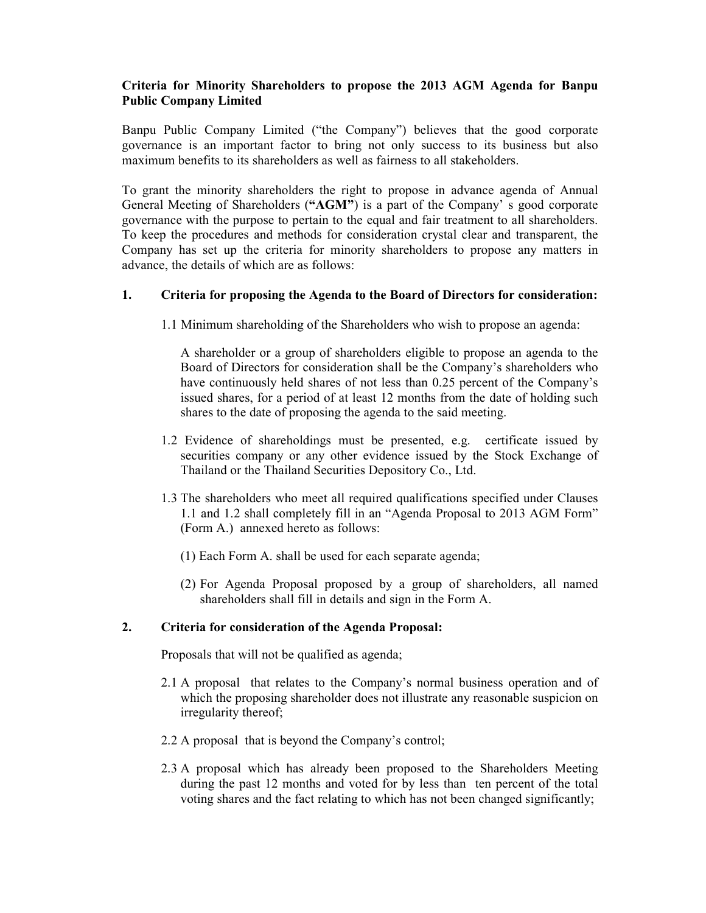# **Criteria for Minority Shareholders to propose the 2013 AGM Agenda for Banpu Public Company Limited**

Banpu Public Company Limited ("the Company") believes that the good corporate governance is an important factor to bring not only success to its business but also maximum benefits to its shareholders as well as fairness to all stakeholders.

To grant the minority shareholders the right to propose in advance agenda of Annual General Meeting of Shareholders (**"AGM"**) is a part of the Company' s good corporate governance with the purpose to pertain to the equal and fair treatment to all shareholders. To keep the procedures and methods for consideration crystal clear and transparent, the Company has set up the criteria for minority shareholders to propose any matters in advance, the details of which are as follows:

#### **1. Criteria for proposing the Agenda to the Board of Directors for consideration:**

1.1 Minimum shareholding of the Shareholders who wish to propose an agenda:

A shareholder or a group of shareholders eligible to propose an agenda to the Board of Directors for consideration shall be the Company's shareholders who have continuously held shares of not less than 0.25 percent of the Company's issued shares, for a period of at least 12 months from the date of holding such shares to the date of proposing the agenda to the said meeting.

- 1.2 Evidence of shareholdings must be presented, e.g. certificate issued by securities company or any other evidence issued by the Stock Exchange of Thailand or the Thailand Securities Depository Co., Ltd.
- 1.3 The shareholders who meet all required qualifications specified under Clauses 1.1 and 1.2 shall completely fill in an "Agenda Proposal to 2013 AGM Form" (Form A.) annexed hereto as follows:
	- (1) Each Form A. shall be used for each separate agenda;
	- (2) For Agenda Proposal proposed by a group of shareholders, all named shareholders shall fill in details and sign in the Form A.

#### **2. Criteria for consideration of the Agenda Proposal:**

Proposals that will not be qualified as agenda;

- 2.1 A proposal that relates to the Company's normal business operation and of which the proposing shareholder does not illustrate any reasonable suspicion on irregularity thereof;
- 2.2 A proposal that is beyond the Company's control;
- 2.3 A proposal which has already been proposed to the Shareholders Meeting during the past 12 months and voted for by less than ten percent of the total voting shares and the fact relating to which has not been changed significantly;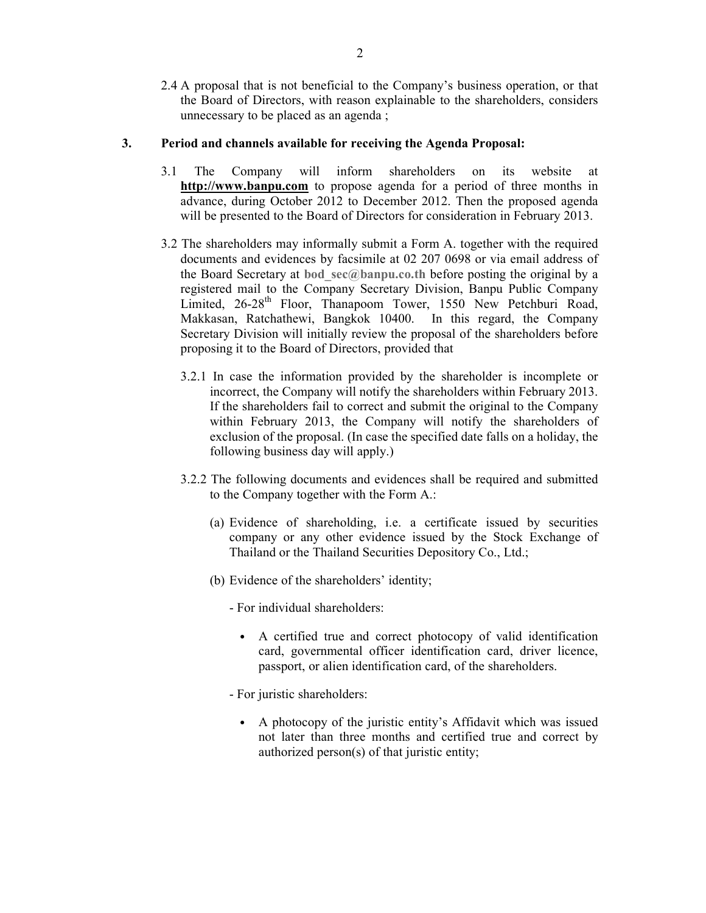2.4 A proposal that is not beneficial to the Company's business operation, or that the Board of Directors, with reason explainable to the shareholders, considers unnecessary to be placed as an agenda ;

## **3. Period and channels available for receiving the Agenda Proposal:**

- 3.1 The Company will inform shareholders on its website at **http://www.banpu.com** to propose agenda for a period of three months in advance, during October 2012 to December 2012. Then the proposed agenda will be presented to the Board of Directors for consideration in February 2013.
- 3.2 The shareholders may informally submit a Form A. together with the required documents and evidences by facsimile at 02 207 0698 or via email address of the Board Secretary at **bod\_sec@banpu.co.th** before posting the original by a registered mail to the Company Secretary Division, Banpu Public Company Limited, 26-28<sup>th</sup> Floor, Thanapoom Tower, 1550 New Petchburi Road, Makkasan, Ratchathewi, Bangkok 10400. In this regard, the Company Secretary Division will initially review the proposal of the shareholders before proposing it to the Board of Directors, provided that
	- 3.2.1 In case the information provided by the shareholder is incomplete or incorrect, the Company will notify the shareholders within February 2013. If the shareholders fail to correct and submit the original to the Company within February 2013, the Company will notify the shareholders of exclusion of the proposal. (In case the specified date falls on a holiday, the following business day will apply.)
	- 3.2.2 The following documents and evidences shall be required and submitted to the Company together with the Form A.:
		- (a) Evidence of shareholding, i.e. a certificate issued by securities company or any other evidence issued by the Stock Exchange of Thailand or the Thailand Securities Depository Co., Ltd.;
		- (b) Evidence of the shareholders' identity;

- For individual shareholders:

- A certified true and correct photocopy of valid identification card, governmental officer identification card, driver licence, passport, or alien identification card, of the shareholders.
- For juristic shareholders:
	- A photocopy of the juristic entity's Affidavit which was issued not later than three months and certified true and correct by authorized person(s) of that juristic entity;